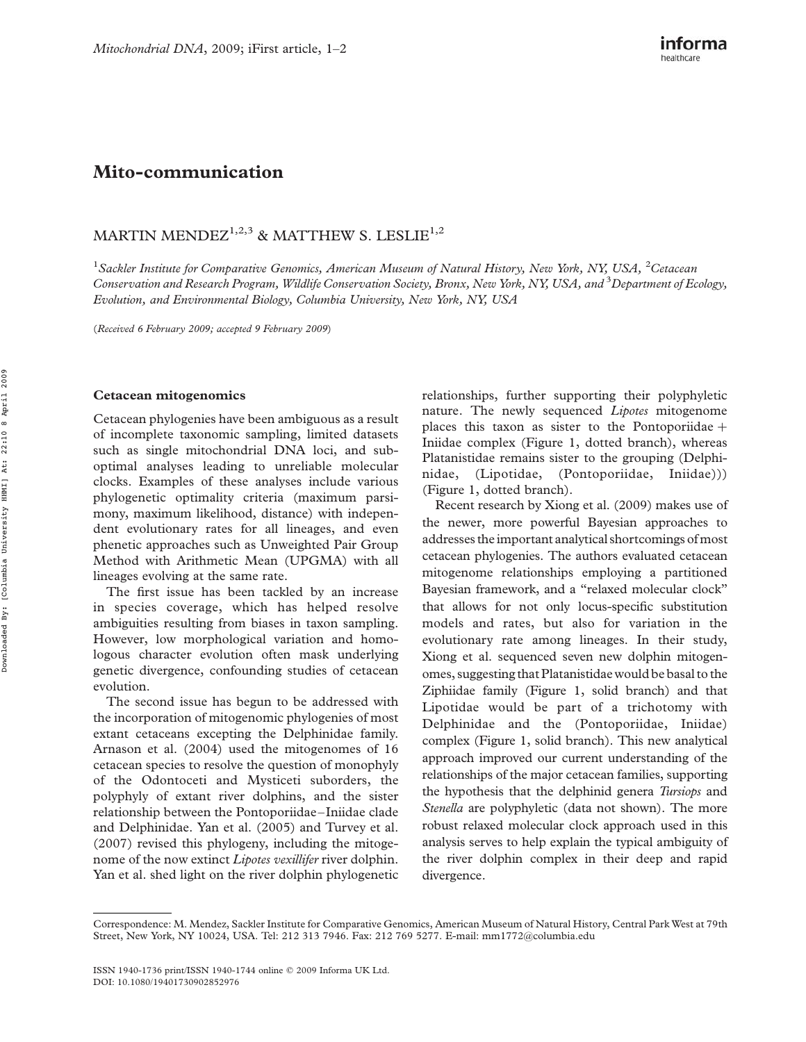## Mito-communication

## MARTIN MENDEZ<sup>1,2,3</sup> & MATTHEW S. LESLIE<sup>1,2</sup>

<sup>1</sup>Sackler Institute for Comparative Genomics, American Museum of Natural History, New York, NY, USA, <sup>2</sup>Cetacean Conservation and Research Program, Wildlife Conservation Society, Bronx, New York, NY, USA, and <sup>3</sup>Department of Ecology, Evolution, and Environmental Biology, Columbia University, New York, NY, USA

(Received 6 February 2009; accepted 9 February 2009)

## Cetacean mitogenomics

Cetacean phylogenies have been ambiguous as a result of incomplete taxonomic sampling, limited datasets such as single mitochondrial DNA loci, and suboptimal analyses leading to unreliable molecular clocks. Examples of these analyses include various phylogenetic optimality criteria (maximum parsimony, maximum likelihood, distance) with independent evolutionary rates for all lineages, and even phenetic approaches such as Unweighted Pair Group Method with Arithmetic Mean (UPGMA) with all lineages evolving at the same rate.

The first issue has been tackled by an increase in species coverage, which has helped resolve ambiguities resulting from biases in taxon sampling. However, low morphological variation and homologous character evolution often mask underlying genetic divergence, confounding studies of cetacean evolution.

The second issue has begun to be addressed with the incorporation of mitogenomic phylogenies of most extant cetaceans excepting the Delphinidae family. Arnason et al. (2004) used the mitogenomes of 16 cetacean species to resolve the question of monophyly of the Odontoceti and Mysticeti suborders, the polyphyly of extant river dolphins, and the sister relationship between the Pontoporiidae – Iniidae clade and Delphinidae. Yan et al. (2005) and Turvey et al. (2007) revised this phylogeny, including the mitogenome of the now extinct Lipotes vexillifer river dolphin. Yan et al. shed light on the river dolphin phylogenetic relationships, further supporting their polyphyletic nature. The newly sequenced Lipotes mitogenome places this taxon as sister to the Pontoporiidae  $+$ Iniidae complex (Figure 1, dotted branch), whereas Platanistidae remains sister to the grouping (Delphinidae, (Lipotidae, (Pontoporiidae, Iniidae))) (Figure 1, dotted branch).

Recent research by Xiong et al. (2009) makes use of the newer, more powerful Bayesian approaches to addresses the important analytical shortcomings ofmost cetacean phylogenies. The authors evaluated cetacean mitogenome relationships employing a partitioned Bayesian framework, and a "relaxed molecular clock" that allows for not only locus-specific substitution models and rates, but also for variation in the evolutionary rate among lineages. In their study, Xiong et al. sequenced seven new dolphin mitogenomes, suggesting that Platanistidae would be basal to the Ziphiidae family (Figure 1, solid branch) and that Lipotidae would be part of a trichotomy with Delphinidae and the (Pontoporiidae, Iniidae) complex (Figure 1, solid branch). This new analytical approach improved our current understanding of the relationships of the major cetacean families, supporting the hypothesis that the delphinid genera Tursiops and Stenella are polyphyletic (data not shown). The more robust relaxed molecular clock approach used in this analysis serves to help explain the typical ambiguity of the river dolphin complex in their deep and rapid divergence.

Correspondence: M. Mendez, Sackler Institute for Comparative Genomics, American Museum of Natural History, Central Park West at 79th Street, New York, NY 10024, USA. Tel: 212 313 7946. Fax: 212 769 5277. E-mail: mm1772@columbia.edu